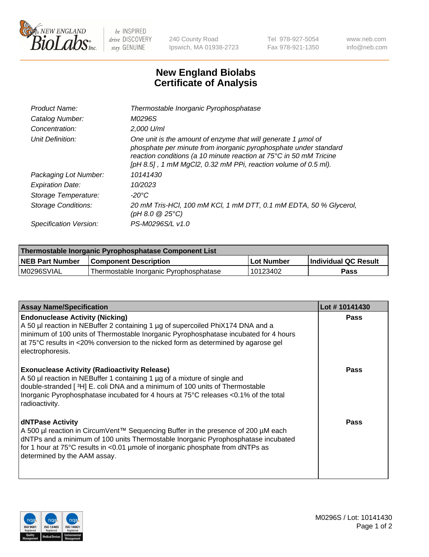

 $be$  INSPIRED drive DISCOVERY stay GENUINE

240 County Road Ipswich, MA 01938-2723 Tel 978-927-5054 Fax 978-921-1350 www.neb.com info@neb.com

## **New England Biolabs Certificate of Analysis**

| Product Name:              | Thermostable Inorganic Pyrophosphatase                                                                                                                                                                                                                                    |
|----------------------------|---------------------------------------------------------------------------------------------------------------------------------------------------------------------------------------------------------------------------------------------------------------------------|
| Catalog Number:            | M0296S                                                                                                                                                                                                                                                                    |
| Concentration:             | $2.000$ U/ml                                                                                                                                                                                                                                                              |
| Unit Definition:           | One unit is the amount of enzyme that will generate 1 µmol of<br>phosphate per minute from inorganic pyrophosphate under standard<br>reaction conditions (a 10 minute reaction at 75°C in 50 mM Tricine<br>[pH 8.5], 1 mM MgCl2, 0.32 mM PPi, reaction volume of 0.5 ml). |
| Packaging Lot Number:      | 10141430                                                                                                                                                                                                                                                                  |
| <b>Expiration Date:</b>    | 10/2023                                                                                                                                                                                                                                                                   |
| Storage Temperature:       | $-20^{\circ}$ C                                                                                                                                                                                                                                                           |
| <b>Storage Conditions:</b> | 20 mM Tris-HCl, 100 mM KCl, 1 mM DTT, 0.1 mM EDTA, 50 % Glycerol,<br>(pH 8.0 $@25°C$ )                                                                                                                                                                                    |
| Specification Version:     | PS-M0296S/L v1.0                                                                                                                                                                                                                                                          |

| Thermostable Inorganic Pyrophosphatase Component List |                                        |              |                      |  |
|-------------------------------------------------------|----------------------------------------|--------------|----------------------|--|
| NEB Part Number                                       | <b>Component Description</b>           | l Lot Number | Individual QC Result |  |
| M0296SVIAL                                            | Thermostable Inorganic Pyrophosphatase | 10123402     | <b>Pass</b>          |  |

| <b>Assay Name/Specification</b>                                                                                                                                                                                                                                                                                             | Lot #10141430 |
|-----------------------------------------------------------------------------------------------------------------------------------------------------------------------------------------------------------------------------------------------------------------------------------------------------------------------------|---------------|
| <b>Endonuclease Activity (Nicking)</b><br>A 50 µl reaction in NEBuffer 2 containing 1 µg of supercoiled PhiX174 DNA and a<br>minimum of 100 units of Thermostable Inorganic Pyrophosphatase incubated for 4 hours<br>at 75°C results in <20% conversion to the nicked form as determined by agarose gel<br>electrophoresis. | <b>Pass</b>   |
| <b>Exonuclease Activity (Radioactivity Release)</b><br>A 50 µl reaction in NEBuffer 1 containing 1 µg of a mixture of single and<br>double-stranded [3H] E. coli DNA and a minimum of 100 units of Thermostable<br>Inorganic Pyrophosphatase incubated for 4 hours at 75°C releases <0.1% of the total<br>radioactivity.    | <b>Pass</b>   |
| <b>dNTPase Activity</b><br>A 500 µl reaction in CircumVent™ Sequencing Buffer in the presence of 200 µM each<br>dNTPs and a minimum of 100 units Thermostable Inorganic Pyrophosphatase incubated<br>for 1 hour at 75°C results in <0.01 µmole of inorganic phosphate from dNTPs as<br>determined by the AAM assay.         | <b>Pass</b>   |